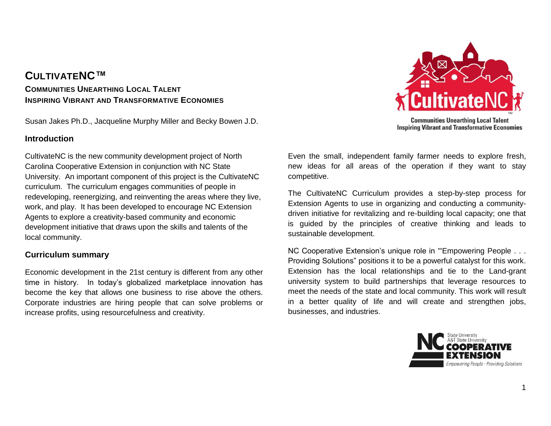### **CULTIVATENC™ COMMUNITIES UNEARTHING LOCAL TALENT INSPIRING VIBRANT AND TRANSFORMATIVE ECONOMIES**

Susan Jakes Ph.D., Jacqueline Murphy Miller and Becky Bowen J.D.

### **Introduction**

CultivateNC is the new community development project of North Carolina Cooperative Extension in conjunction with NC State University. An important component of this project is the CultivateNC curriculum. The curriculum engages communities of people in redeveloping, reenergizing, and reinventing the areas where they live, work, and play. It has been developed to encourage NC Extension Agents to explore a creativity-based community and economic development initiative that draws upon the skills and talents of the local community.

### **Curriculum summary**

Economic development in the 21st century is different from any other time in history. In today's globalized marketplace innovation has become the key that allows one business to rise above the others. Corporate industries are hiring people that can solve problems or increase profits, using resourcefulness and creativity.



Even the small, independent family farmer needs to explore fresh, new ideas for all areas of the operation if they want to stay competitive.

The CultivateNC Curriculum provides a step-by-step process for Extension Agents to use in organizing and conducting a communitydriven initiative for revitalizing and re-building local capacity; one that is guided by the principles of creative thinking and leads to sustainable development.

NC Cooperative Extension's unique role in "'Empowering People . . . Providing Solutions" positions it to be a powerful catalyst for this work. Extension has the local relationships and tie to the Land-grant university system to build partnerships that leverage resources to meet the needs of the state and local community. This work will result in a better quality of life and will create and strengthen jobs, businesses, and industries.

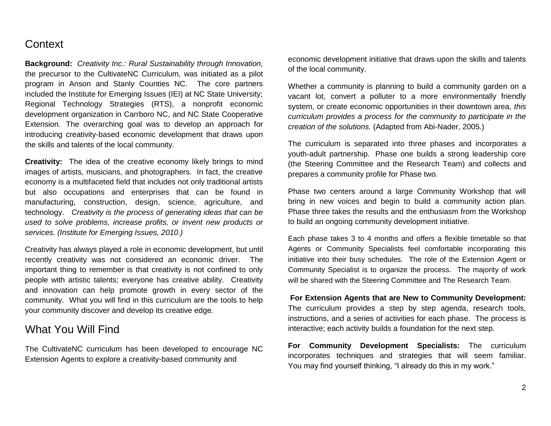# **Context**

**Background:** *Creativity Inc.: Rural Sustainability through Innovation,*  the precursor to the CultivateNC Curriculum*,* was initiated as a pilot program in Anson and Stanly Counties NC. The core partners included the Institute for Emerging Issues (IEI) at NC State University; Regional Technology Strategies (RTS), a nonprofit economic development organization in Carrboro NC, and NC State Cooperative Extension. The overarching goal was to develop an approach for introducing creativity-based economic development that draws upon the skills and talents of the local community.

**Creativity:**The idea of the creative economy likely brings to mind images of artists, musicians, and photographers. In fact, the creative economy is a multifaceted field that includes not only traditional artists but also occupations and enterprises that can be found in manufacturing, construction, design, science, agriculture, and technology. *Creativity is the process of generating ideas that can be used to solve problems, increase profits, or invent new products or services. (Institute for Emerging Issues, 2010.)*

Creativity has always played a role in economic development, but until recently creativity was not considered an economic driver. The important thing to remember is that creativity is not confined to only people with artistic talents; everyone has creative ability. Creativity and innovation can help promote growth in every sector of the community. What you will find in this curriculum are the tools to help your community discover and develop its creative edge*.* 

### What You Will Find

The CultivateNC curriculum has been developed to encourage NC Extension Agents to explore a creativity-based community and

economic development initiative that draws upon the skills and talents of the local community.

Whether a community is planning to build a community garden on a vacant lot, convert a polluter to a more environmentally friendly system, or create economic opportunities in their downtown area, *this curriculum provides a process for the community to participate in the creation of the solutions.* (Adapted from Abi-Nader, 2005.)

The curriculum is separated into three phases and incorporates a youth-adult partnership. Phase one builds a strong leadership core (the Steering Committee and the Research Team) and collects and prepares a community profile for Phase two.

Phase two centers around a large Community Workshop that will bring in new voices and begin to build a community action plan. Phase three takes the results and the enthusiasm from the Workshop to build an ongoing community development initiative.

Each phase takes 3 to 4 months and offers a flexible timetable so that Agents or Community Specialists feel comfortable incorporating this initiative into their busy schedules. The role of the Extension Agent or Community Specialist is to organize the process. The majority of work will be shared with the Steering Committee and The Research Team.

**For Extension Agents that are New to Community Development:** The curriculum provides a step by step agenda, research tools, instructions, and a series of activities for each phase. The process is interactive; each activity builds a foundation for the next step.

**For Community Development Specialists:** The curriculum incorporates techniques and strategies that will seem familiar. You may find yourself thinking, "I already do this in my work."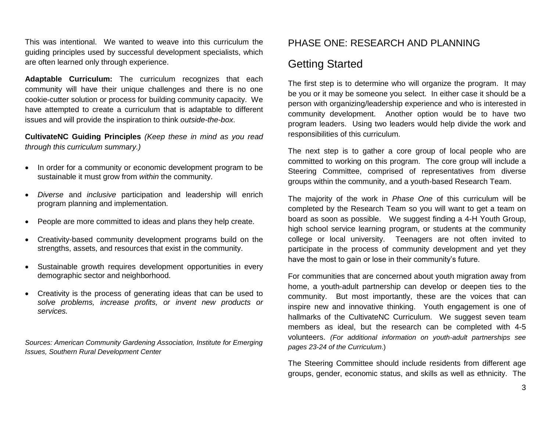This was intentional. We wanted to weave into this curriculum the guiding principles used by successful development specialists, which are often learned only through experience.

**Adaptable Curriculum:** The curriculum recognizes that each community will have their unique challenges and there is no one cookie-cutter solution or process for building community capacity. We have attempted to create a curriculum that is adaptable to different issues and will provide the inspiration to think *outside-the-box*.

**CultivateNC Guiding Principles** *(Keep these in mind as you read through this curriculum summary.)*

- In order for a community or economic development program to be sustainable it must grow from *within* the community.
- *Diverse* and *inclusive* participation and leadership will enrich program planning and implementation.
- People are more committed to ideas and plans they help create.
- Creativity-based community development programs build on the strengths, assets, and resources that exist in the community.
- Sustainable growth requires development opportunities in every demographic sector and neighborhood.
- Creativity is the process of generating ideas that can be used to *solve problems, increase profits, or invent new products or services.*

*Sources: American Community Gardening Association, Institute for Emerging Issues, Southern Rural Development Center*

# PHASE ONE: RESEARCH AND PLANNING

# Getting Started

The first step is to determine who will organize the program. It may be you or it may be someone you select. In either case it should be a person with organizing/leadership experience and who is interested in community development. Another option would be to have two program leaders. Using two leaders would help divide the work and responsibilities of this curriculum.

The next step is to gather a core group of local people who are committed to working on this program. The core group will include a Steering Committee, comprised of representatives from diverse groups within the community, and a youth-based Research Team.

The majority of the work in *Phase One* of this curriculum will be completed by the Research Team so you will want to get a team on board as soon as possible. We suggest finding a 4-H Youth Group, high school service learning program, or students at the community college or local university. Teenagers are not often invited to participate in the process of community development and yet they have the most to gain or lose in their community's future.

For communities that are concerned about youth migration away from home, a youth-adult partnership can develop or deepen ties to the community. But most importantly, these are the voices that can inspire new and innovative thinking. Youth engagement is one of hallmarks of the CultivateNC Curriculum. We suggest seven team members as ideal, but the research can be completed with 4-5 volunteers. *(For additional information on youth-adult partnerships see pages 23-24 of the Curriculum*.)

The Steering Committee should include residents from different age groups, gender, economic status, and skills as well as ethnicity. The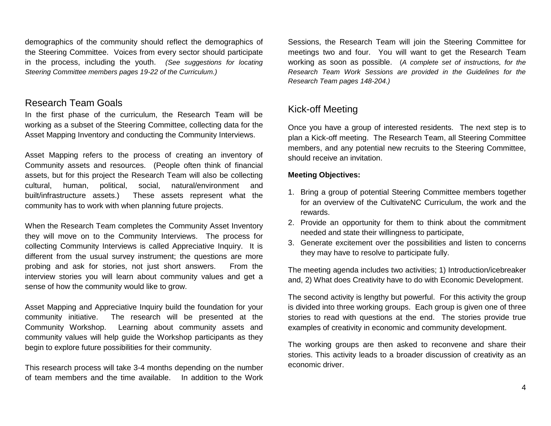demographics of the community should reflect the demographics of the Steering Committee. Voices from every sector should participate in the process, including the youth. *(See suggestions for locating Steering Committee members pages 19-22 of the Curriculum.)*

### Research Team Goals

In the first phase of the curriculum, the Research Team will be working as a subset of the Steering Committee, collecting data for the Asset Mapping Inventory and conducting the Community Interviews.

Asset Mapping refers to the process of creating an inventory of Community assets and resources. (People often think of financial assets, but for this project the Research Team will also be collecting cultural, human, political, social, natural/environment and built/infrastructure assets.) These assets represent what the community has to work with when planning future projects.

When the Research Team completes the Community Asset Inventory they will move on to the Community Interviews. The process for collecting Community Interviews is called Appreciative Inquiry. It is different from the usual survey instrument; the questions are more probing and ask for stories, not just short answers. From the interview stories you will learn about community values and get a sense of how the community would like to grow.

Asset Mapping and Appreciative Inquiry build the foundation for your community initiative. The research will be presented at the Community Workshop. Learning about community assets and community values will help guide the Workshop participants as they begin to explore future possibilities for their community.

This research process will take 3-4 months depending on the number of team members and the time available. In addition to the Work Sessions, the Research Team will join the Steering Committee for meetings two and four. You will want to get the Research Team working as soon as possible. (*A complete set of instructions, for the Research Team Work Sessions are provided in the Guidelines for the Research Team pages 148-204.)*

## Kick-off Meeting

Once you have a group of interested residents. The next step is to plan a Kick-off meeting. The Research Team, all Steering Committee members, and any potential new recruits to the Steering Committee, should receive an invitation.

#### **Meeting Objectives:**

- 1. Bring a group of potential Steering Committee members together for an overview of the CultivateNC Curriculum, the work and the rewards.
- 2. Provide an opportunity for them to think about the commitment needed and state their willingness to participate,
- 3. Generate excitement over the possibilities and listen to concerns they may have to resolve to participate fully.

The meeting agenda includes two activities; 1) Introduction/icebreaker and, 2) What does Creativity have to do with Economic Development.

The second activity is lengthy but powerful. For this activity the group is divided into three working groups. Each group is given one of three stories to read with questions at the end. The stories provide true examples of creativity in economic and community development.

The working groups are then asked to reconvene and share their stories. This activity leads to a broader discussion of creativity as an economic driver.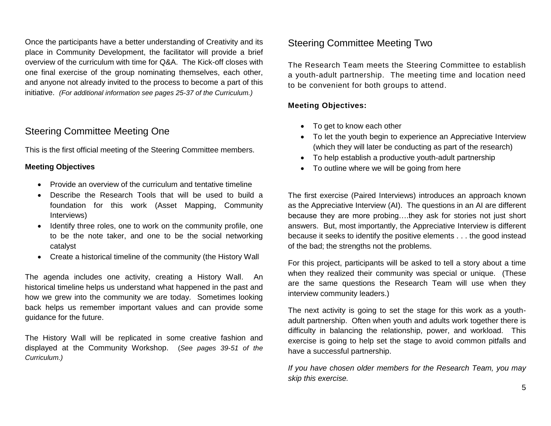Once the participants have a better understanding of Creativity and its place in Community Development, the facilitator will provide a brief overview of the curriculum with time for Q&A. The Kick-off closes with one final exercise of the group nominating themselves, each other, and anyone not already invited to the process to become a part of this initiative. *(For additional information see pages 25-37 of the Curriculum.)*

### Steering Committee Meeting One

This is the first official meeting of the Steering Committee members.

#### **Meeting Objectives**

- Provide an overview of the curriculum and tentative timeline
- Describe the Research Tools that will be used to build a foundation for this work (Asset Mapping, Community Interviews)
- Identify three roles, one to work on the community profile, one to be the note taker, and one to be the social networking catalyst
- Create a historical timeline of the community (the History Wall

The agenda includes one activity, creating a History Wall. An historical timeline helps us understand what happened in the past and how we grew into the community we are today. Sometimes looking back helps us remember important values and can provide some guidance for the future.

The History Wall will be replicated in some creative fashion and displayed at the Community Workshop. (*See pages 39-51 of the Curriculum.)*

### Steering Committee Meeting Two

The Research Team meets the Steering Committee to establish a youth-adult partnership. The meeting time and location need to be convenient for both groups to attend.

#### **Meeting Objectives:**

- To get to know each other
- To let the youth begin to experience an Appreciative Interview (which they will later be conducting as part of the research)
- To help establish a productive youth-adult partnership
- To outline where we will be going from here

The first exercise (Paired Interviews) introduces an approach known as the Appreciative Interview (AI). The questions in an AI are different because they are more probing….they ask for stories not just short answers. But, most importantly, the Appreciative Interview is different because it seeks to identify the positive elements . . . the good instead of the bad; the strengths not the problems.

For this project, participants will be asked to tell a story about a time when they realized their community was special or unique. (These are the same questions the Research Team will use when they interview community leaders.)

The next activity is going to set the stage for this work as a youthadult partnership. Often when youth and adults work together there is difficulty in balancing the relationship, power, and workload. This exercise is going to help set the stage to avoid common pitfalls and have a successful partnership.

*If you have chosen older members for the Research Team, you may skip this exercise.*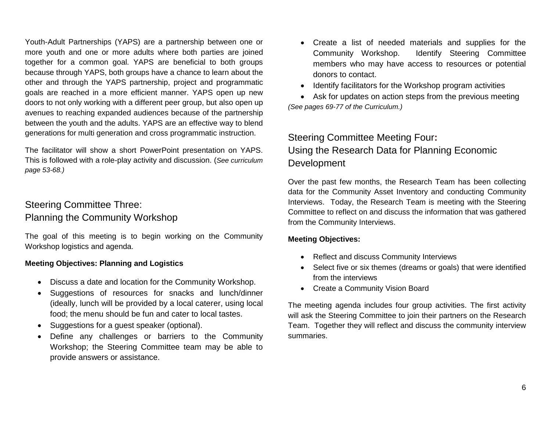Youth-Adult Partnerships (YAPS) are a partnership between one or more youth and one or more adults where both parties are joined together for a common goal. YAPS are beneficial to both groups because through YAPS, both groups have a chance to learn about the other and through the YAPS partnership, project and programmatic goals are reached in a more efficient manner. YAPS open up new doors to not only working with a different peer group, but also open up avenues to reaching expanded audiences because of the partnership between the youth and the adults. YAPS are an effective way to blend generations for multi generation and cross programmatic instruction.

The facilitator will show a short PowerPoint presentation on YAPS. This is followed with a role-play activity and discussion. (*See curriculum page 53-68.)*

## Steering Committee Three: Planning the Community Workshop

The goal of this meeting is to begin working on the Community Workshop logistics and agenda.

#### **Meeting Objectives: Planning and Logistics**

- Discuss a date and location for the Community Workshop.
- Suggestions of resources for snacks and lunch/dinner (ideally, lunch will be provided by a local caterer, using local food; the menu should be fun and cater to local tastes.
- Suggestions for a guest speaker (optional).
- Define any challenges or barriers to the Community Workshop; the Steering Committee team may be able to provide answers or assistance.
- Create a list of needed materials and supplies for the Community Workshop. Identify Steering Committee members who may have access to resources or potential donors to contact.
- Identify facilitators for the Workshop program activities
- Ask for updates on action steps from the previous meeting *(See pages 69-77 of the Curriculum.)*

# Steering Committee Meeting Four**:**  Using the Research Data for Planning Economic Development

Over the past few months, the Research Team has been collecting data for the Community Asset Inventory and conducting Community Interviews. Today, the Research Team is meeting with the Steering Committee to reflect on and discuss the information that was gathered from the Community Interviews.

#### **Meeting Objectives:**

- Reflect and discuss Community Interviews
- Select five or six themes (dreams or goals) that were identified from the interviews
- Create a Community Vision Board

The meeting agenda includes four group activities. The first activity will ask the Steering Committee to join their partners on the Research Team. Together they will reflect and discuss the community interview summaries.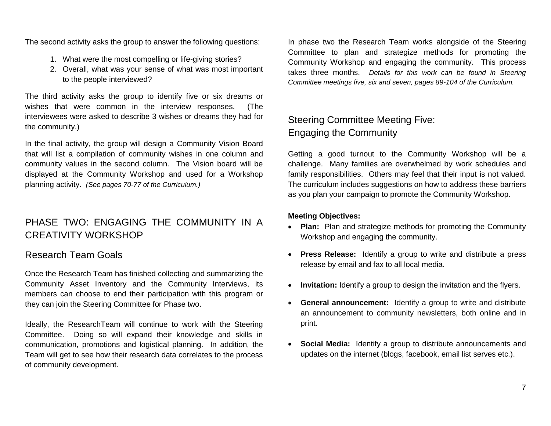The second activity asks the group to answer the following questions:

- 1. What were the most compelling or life-giving stories?
- 2. Overall, what was your sense of what was most important to the people interviewed?

The third activity asks the group to identify five or six dreams or wishes that were common in the interview responses. (The interviewees were asked to describe 3 wishes or dreams they had for the community.)

In the final activity, the group will design a Community Vision Board that will list a compilation of community wishes in one column and community values in the second column. The Vision board will be displayed at the Community Workshop and used for a Workshop planning activity. *(See pages 70-77 of the Curriculum.)*

# PHASE TWO: ENGAGING THE COMMUNITY IN A CREATIVITY WORKSHOP

## Research Team Goals

Once the Research Team has finished collecting and summarizing the Community Asset Inventory and the Community Interviews, its members can choose to end their participation with this program or they can join the Steering Committee for Phase two.

Ideally, the ResearchTeam will continue to work with the Steering Committee. Doing so will expand their knowledge and skills in communication, promotions and logistical planning. In addition, the Team will get to see how their research data correlates to the process of community development.

In phase two the Research Team works alongside of the Steering Committee to plan and strategize methods for promoting the Community Workshop and engaging the community. This process takes three months. *Details for this work can be found in Steering Committee meetings five, six and seven, pages 89-104 of the Curriculum.*

# Steering Committee Meeting Five: Engaging the Community

Getting a good turnout to the Community Workshop will be a challenge. Many families are overwhelmed by work schedules and family responsibilities. Others may feel that their input is not valued. The curriculum includes suggestions on how to address these barriers as you plan your campaign to promote the Community Workshop.

#### **Meeting Objectives:**

- **Plan:** Plan and strategize methods for promoting the Community Workshop and engaging the community.
- **Press Release:** Identify a group to write and distribute a press release by email and fax to all local media.
- **Invitation:** Identify a group to design the invitation and the flyers.
- **General announcement:** Identify a group to write and distribute an announcement to community newsletters, both online and in print.
- **Social Media:** Identify a group to distribute announcements and updates on the internet (blogs, facebook, email list serves etc.).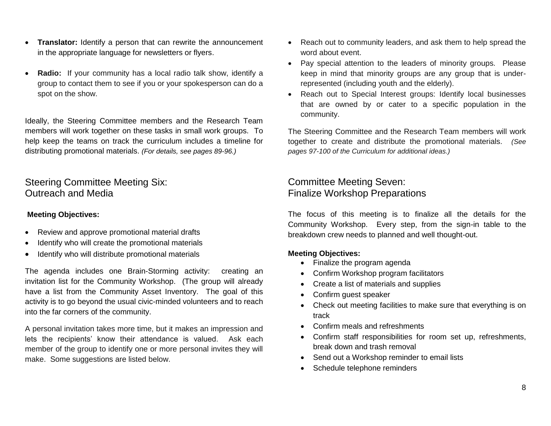- **Translator:** Identify a person that can rewrite the announcement in the appropriate language for newsletters or flyers.
- **Radio:** If your community has a local radio talk show, identify a group to contact them to see if you or your spokesperson can do a spot on the show.

Ideally, the Steering Committee members and the Research Team members will work together on these tasks in small work groups. To help keep the teams on track the curriculum includes a timeline for distributing promotional materials. *(For details, see pages 89-96.)*

### Steering Committee Meeting Six: Outreach and Media

#### **Meeting Objectives:**

- Review and approve promotional material drafts
- Identify who will create the promotional materials
- Identify who will distribute promotional materials

The agenda includes one Brain-Storming activity: creating an invitation list for the Community Workshop. (The group will already have a list from the Community Asset Inventory. The goal of this activity is to go beyond the usual civic-minded volunteers and to reach into the far corners of the community.

A personal invitation takes more time, but it makes an impression and lets the recipients' know their attendance is valued. Ask each member of the group to identify one or more personal invites they will make. Some suggestions are listed below.

- Reach out to community leaders, and ask them to help spread the word about event.
- Pay special attention to the leaders of minority groups. Please keep in mind that minority groups are any group that is underrepresented (including youth and the elderly).
- Reach out to Special Interest groups: Identify local businesses that are owned by or cater to a specific population in the community.

The Steering Committee and the Research Team members will work together to create and distribute the promotional materials. *(See pages 97-100 of the Curriculum for additional ideas.)*

### Committee Meeting Seven: Finalize Workshop Preparations

The focus of this meeting is to finalize all the details for the Community Workshop. Every step, from the sign-in table to the breakdown crew needs to planned and well thought-out.

#### **Meeting Objectives:**

- Finalize the program agenda
- Confirm Workshop program facilitators
- Create a list of materials and supplies
- Confirm guest speaker
- Check out meeting facilities to make sure that everything is on track
- Confirm meals and refreshments
- Confirm staff responsibilities for room set up, refreshments, break down and trash removal
- Send out a Workshop reminder to email lists
- Schedule telephone reminders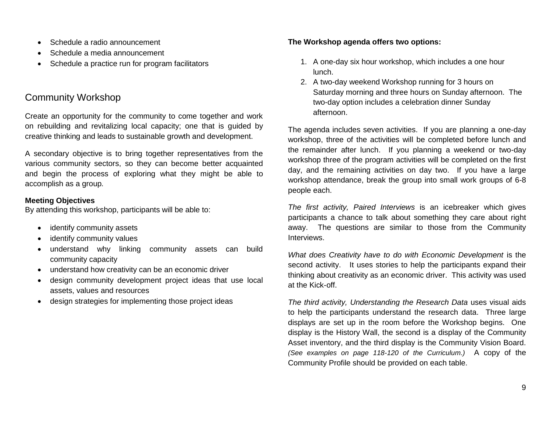- Schedule a radio announcement
- Schedule a media announcement
- Schedule a practice run for program facilitators

# Community Workshop

Create an opportunity for the community to come together and work on rebuilding and revitalizing local capacity; one that is guided by creative thinking and leads to sustainable growth and development.

A secondary objective is to bring together representatives from the various community sectors, so they can become better acquainted and begin the process of exploring what they might be able to accomplish as a group*.* 

#### **Meeting Objectives**

By attending this workshop, participants will be able to:

- identify community assets
- identify community values
- understand why linking community assets can build community capacity
- understand how creativity can be an economic driver
- design community development project ideas that use local assets, values and resources
- design strategies for implementing those project ideas

#### **The Workshop agenda offers two options:**

- 1. A one-day six hour workshop, which includes a one hour lunch.
- 2. A two-day weekend Workshop running for 3 hours on Saturday morning and three hours on Sunday afternoon. The two-day option includes a celebration dinner Sunday afternoon.

The agenda includes seven activities. If you are planning a one-day workshop, three of the activities will be completed before lunch and the remainder after lunch. If you planning a weekend or two-day workshop three of the program activities will be completed on the first day, and the remaining activities on day two. If you have a large workshop attendance, break the group into small work groups of 6-8 people each.

*The first activity, Paired Interviews* is an icebreaker which gives participants a chance to talk about something they care about right away. The questions are similar to those from the Community Interviews.

*What does Creativity have to do with Economic Development* is the second activity. It uses stories to help the participants expand their thinking about creativity as an economic driver. This activity was used at the Kick-off.

*The third activity, Understanding the Research Data* uses visual aids to help the participants understand the research data. Three large displays are set up in the room before the Workshop begins. One display is the History Wall, the second is a display of the Community Asset inventory, and the third display is the Community Vision Board. *(See examples on page 118-120 of the Curriculum.)* A copy of the Community Profile should be provided on each table.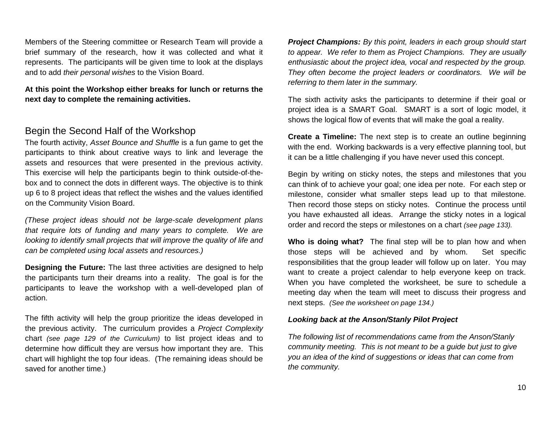Members of the Steering committee or Research Team will provide a brief summary of the research, how it was collected and what it represents. The participants will be given time to look at the displays and to add *their personal wishes* to the Vision Board.

#### **At this point the Workshop either breaks for lunch or returns the next day to complete the remaining activities.**

### Begin the Second Half of the Workshop

The fourth activity, *Asset Bounce and Shuffle* is a fun game to get the participants to think about creative ways to link and leverage the assets and resources that were presented in the previous activity. This exercise will help the participants begin to think outside-of-thebox and to connect the dots in different ways. The objective is to think up 6 to 8 project ideas that reflect the wishes and the values identified on the Community Vision Board.

*(These project ideas should not be large-scale development plans that require lots of funding and many years to complete. We are looking to identify small projects that will improve the quality of life and can be completed using local assets and resources.)*

**Designing the Future:** The last three activities are designed to help the participants turn their dreams into a reality. The goal is for the participants to leave the workshop with a well-developed plan of action.

The fifth activity will help the group prioritize the ideas developed in the previous activity. The curriculum provides a *Project Complexity* chart *(see page 129 of the Curriculum)* to list project ideas and to determine how difficult they are versus how important they are. This chart will highlight the top four ideas. (The remaining ideas should be saved for another time.)

*Project Champions: By this point, leaders in each group should start to appear. We refer to them as Project Champions. They are usually enthusiastic about the project idea, vocal and respected by the group. They often become the project leaders or coordinators. We will be referring to them later in the summary.*

The sixth activity asks the participants to determine if their goal or project idea is a SMART Goal. SMART is a sort of logic model, it shows the logical flow of events that will make the goal a reality.

**Create a Timeline:** The next step is to create an outline beginning with the end. Working backwards is a very effective planning tool, but it can be a little challenging if you have never used this concept.

Begin by writing on sticky notes, the steps and milestones that you can think of to achieve your goal; one idea per note. For each step or milestone, consider what smaller steps lead up to that milestone. Then record those steps on sticky notes. Continue the process until you have exhausted all ideas. Arrange the sticky notes in a logical order and record the steps or milestones on a chart *(see page 133).*

**Who is doing what?** The final step will be to plan how and when those steps will be achieved and by whom. Set specific responsibilities that the group leader will follow up on later. You may want to create a project calendar to help everyone keep on track. When you have completed the worksheet, be sure to schedule a meeting day when the team will meet to discuss their progress and next steps. *(See the worksheet on page 134.)*

#### *Looking back at the Anson/Stanly Pilot Project*

*The following list of recommendations came from the Anson/Stanly community meeting. This is not meant to be a guide but just to give you an idea of the kind of suggestions or ideas that can come from the community.*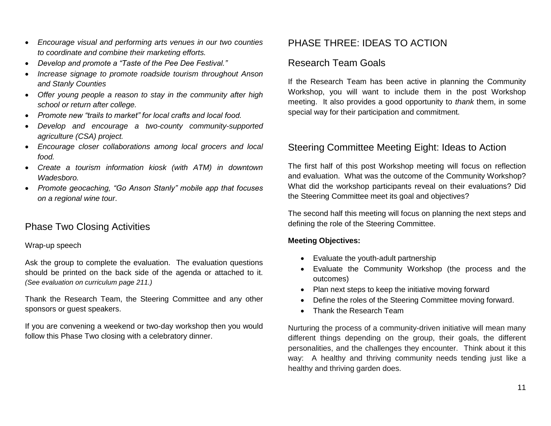- *Encourage visual and performing arts venues in our two counties to coordinate and combine their marketing efforts.*
- *Develop and promote a "Taste of the Pee Dee Festival."*
- *Increase signage to promote roadside tourism throughout Anson and Stanly Counties*
- *Offer young people a reason to stay in the community after high school or return after college.*
- *Promote new "trails to market" for local crafts and local food.*
- *Develop and encourage a two-county community-supported agriculture (CSA) project.*
- *Encourage closer collaborations among local grocers and local food.*
- *Create a tourism information kiosk (with ATM) in downtown Wadesboro.*
- *Promote geocaching, "Go Anson Stanly" mobile app that focuses on a regional wine tour*.

## Phase Two Closing Activities

#### Wrap-up speech

Ask the group to complete the evaluation. The evaluation questions should be printed on the back side of the agenda or attached to it. *(See evaluation on curriculum page 211.)*

Thank the Research Team, the Steering Committee and any other sponsors or guest speakers.

If you are convening a weekend or two-day workshop then you would follow this Phase Two closing with a celebratory dinner.

## PHASE THREE: IDEAS TO ACTION

### Research Team Goals

If the Research Team has been active in planning the Community Workshop, you will want to include them in the post Workshop meeting. It also provides a good opportunity to *thank* them, in some special way for their participation and commitment.

### Steering Committee Meeting Eight: Ideas to Action

The first half of this post Workshop meeting will focus on reflection and evaluation. What was the outcome of the Community Workshop? What did the workshop participants reveal on their evaluations? Did the Steering Committee meet its goal and objectives?

The second half this meeting will focus on planning the next steps and defining the role of the Steering Committee.

#### **Meeting Objectives:**

- Evaluate the youth-adult partnership
- Evaluate the Community Workshop (the process and the outcomes)
- Plan next steps to keep the initiative moving forward
- Define the roles of the Steering Committee moving forward.
- Thank the Research Team

Nurturing the process of a community-driven initiative will mean many different things depending on the group, their goals, the different personalities, and the challenges they encounter. Think about it this way: A healthy and thriving community needs tending just like a healthy and thriving garden does.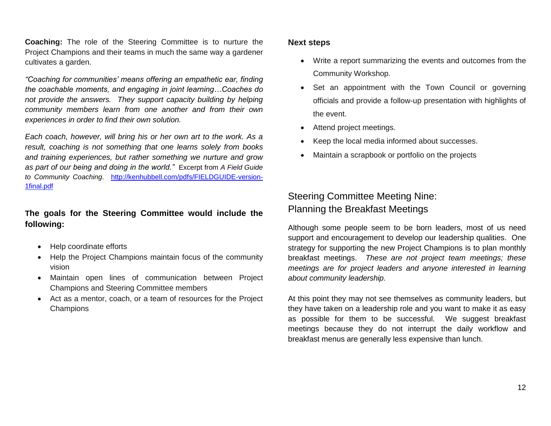**Coaching:** The role of the Steering Committee is to nurture the Project Champions and their teams in much the same way a gardener cultivates a garden.

*"Coaching for communities' means offering an empathetic ear, finding the coachable moments, and engaging in joint learning…Coaches do not provide the answers. They support capacity building by helping community members learn from one another and from their own experiences in order to find their own solution.*

*Each coach, however, will bring his or her own art to the work. As a result, coaching is not something that one learns solely from books and training experiences, but rather something we nurture and grow as part of our being and doing in the world."* Excerpt from *A Field Guide to Community Coaching*. [http://kenhubbell.com/pdfs/FIELDGUIDE-version-](http://kenhubbell.com/pdfs/FIELDGUIDE-version-1final.pdf)[1final.pdf](http://kenhubbell.com/pdfs/FIELDGUIDE-version-1final.pdf)

#### **The goals for the Steering Committee would include the following:**

- Help coordinate efforts
- Help the Project Champions maintain focus of the community vision
- Maintain open lines of communication between Project Champions and Steering Committee members
- Act as a mentor, coach, or a team of resources for the Project Champions

#### **Next steps**

- Write a report summarizing the events and outcomes from the Community Workshop.
- Set an appointment with the Town Council or governing officials and provide a follow-up presentation with highlights of the event.
- Attend project meetings.
- Keep the local media informed about successes.
- Maintain a scrapbook or portfolio on the projects

# Steering Committee Meeting Nine: Planning the Breakfast Meetings

Although some people seem to be born leaders, most of us need support and encouragement to develop our leadership qualities. One strategy for supporting the new Project Champions is to plan monthly breakfast meetings. *These are not project team meetings; these meetings are for project leaders and anyone interested in learning about community leadership.* 

At this point they may not see themselves as community leaders, but they have taken on a leadership role and you want to make it as easy as possible for them to be successful. We suggest breakfast meetings because they do not interrupt the daily workflow and breakfast menus are generally less expensive than lunch.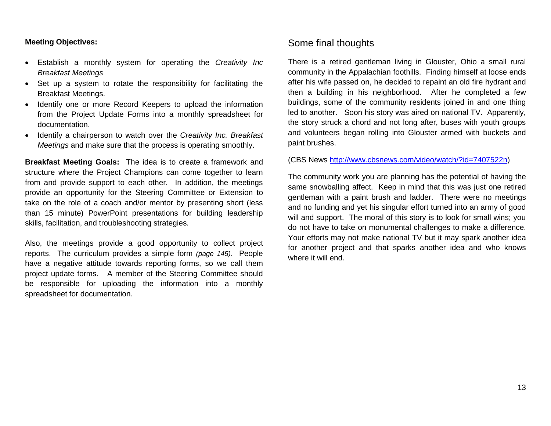#### **Meeting Objectives:**

- Establish a monthly system for operating the *Creativity Inc Breakfast Meetings*
- Set up a system to rotate the responsibility for facilitating the Breakfast Meetings.
- Identify one or more Record Keepers to upload the information from the Project Update Forms into a monthly spreadsheet for documentation.
- Identify a chairperson to watch over the *Creativity Inc. Breakfast Meetings* and make sure that the process is operating smoothly.

**Breakfast Meeting Goals:** The idea is to create a framework and structure where the Project Champions can come together to learn from and provide support to each other. In addition, the meetings provide an opportunity for the Steering Committee or Extension to take on the role of a coach and/or mentor by presenting short (less than 15 minute) PowerPoint presentations for building leadership skills, facilitation, and troubleshooting strategies.

Also, the meetings provide a good opportunity to collect project reports. The curriculum provides a simple form *(page 145).* People have a negative attitude towards reporting forms, so we call them project update forms. A member of the Steering Committee should be responsible for uploading the information into a monthly spreadsheet for documentation.

### Some final thoughts

There is a retired gentleman living in Glouster, Ohio a small rural community in the Appalachian foothills. Finding himself at loose ends after his wife passed on, he decided to repaint an old fire hydrant and then a building in his neighborhood. After he completed a few buildings, some of the community residents joined in and one thing led to another. Soon his story was aired on national TV. Apparently, the story struck a chord and not long after, buses with youth groups and volunteers began rolling into Glouster armed with buckets and paint brushes.

(CBS News [http://www.cbsnews.com/video/watch/?id=7407522n\)](http://www.cbsnews.com/video/watch/?id=7407522n)

The community work you are planning has the potential of having the same snowballing affect. Keep in mind that this was just one retired gentleman with a paint brush and ladder. There were no meetings and no funding and yet his singular effort turned into an army of good will and support. The moral of this story is to look for small wins; you do not have to take on monumental challenges to make a difference. Your efforts may not make national TV but it may spark another idea for another project and that sparks another idea and who knows where it will end.